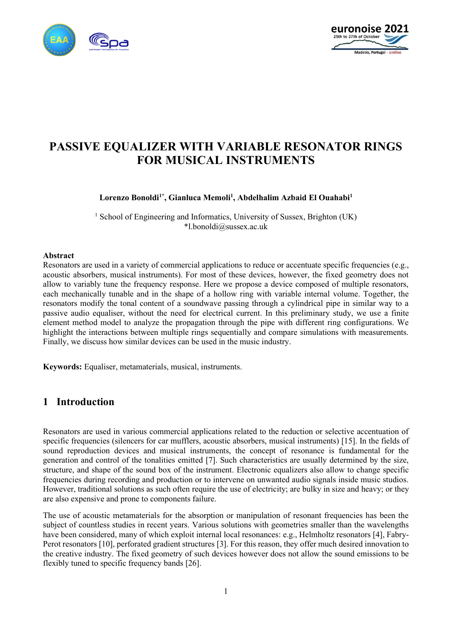



# **PASSIVE EQUALIZER WITH VARIABLE RESONATOR RINGS FOR MUSICAL INSTRUMENTS**

**Lorenzo Bonoldi1\* , Gianluca Memoli<sup>1</sup> , Abdelhalim Azbaid El Ouahabi<sup>1</sup>**

<sup>1</sup> School of Engineering and Informatics, University of Sussex, Brighton (UK) \*l.bonoldi@sussex.ac.uk

#### **Abstract**

Resonators are used in a variety of commercial applications to reduce or accentuate specific frequencies (e.g., acoustic absorbers, musical instruments). For most of these devices, however, the fixed geometry does not allow to variably tune the frequency response. Here we propose a device composed of multiple resonators, each mechanically tunable and in the shape of a hollow ring with variable internal volume. Together, the resonators modify the tonal content of a soundwave passing through a cylindrical pipe in similar way to a passive audio equaliser, without the need for electrical current. In this preliminary study, we use a finite element method model to analyze the propagation through the pipe with different ring configurations. We highlight the interactions between multiple rings sequentially and compare simulations with measurements. Finally, we discuss how similar devices can be used in the music industry.

**Keywords:** Equaliser, metamaterials, musical, instruments.

### **1 Introduction**

Resonators are used in various commercial applications related to the reduction or selective accentuation of specific frequencies (silencers for car mufflers, acoustic absorbers, musical instruments) [15]. In the fields of sound reproduction devices and musical instruments, the concept of resonance is fundamental for the generation and control of the tonalities emitted [7]. Such characteristics are usually determined by the size, structure, and shape of the sound box of the instrument. Electronic equalizers also allow to change specific frequencies during recording and production or to intervene on unwanted audio signals inside music studios. However, traditional solutions as such often require the use of electricity; are bulky in size and heavy; or they are also expensive and prone to components failure.

The use of acoustic metamaterials for the absorption or manipulation of resonant frequencies has been the subject of countless studies in recent years. Various solutions with geometries smaller than the wavelengths have been considered, many of which exploit internal local resonances: e.g., Helmholtz resonators [4], Fabry-Perot resonators [10], perforated gradient structures [3]. For this reason, they offer much desired innovation to the creative industry. The fixed geometry of such devices however does not allow the sound emissions to be flexibly tuned to specific frequency bands [26].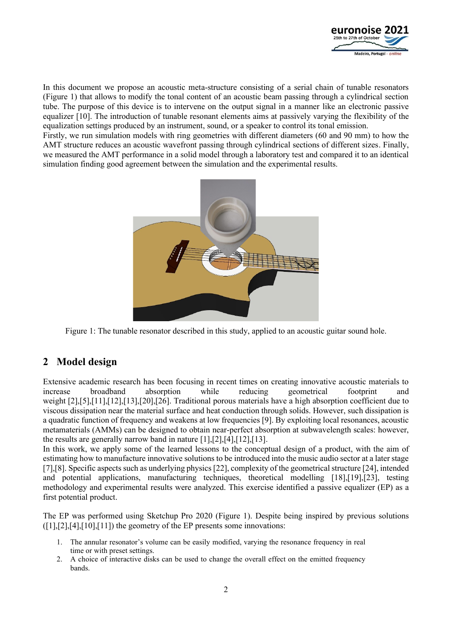

In this document we propose an acoustic meta-structure consisting of a serial chain of tunable resonators [\(Figure 1\)](#page-1-0) that allows to modify the tonal content of an acoustic beam passing through a cylindrical section tube. The purpose of this device is to intervene on the output signal in a manner like an electronic passive equalizer [10]. The introduction of tunable resonant elements aims at passively varying the flexibility of the equalization settings produced by an instrument, sound, or a speaker to control its tonal emission.

Firstly, we run simulation models with ring geometries with different diameters (60 and 90 mm) to how the AMT structure reduces an acoustic wavefront passing through cylindrical sections of different sizes. Finally, we measured the AMT performance in a solid model through a laboratory test and compared it to an identical simulation finding good agreement between the simulation and the experimental results.



Figure 1: The tunable resonator described in this study, applied to an acoustic guitar sound hole.

## <span id="page-1-0"></span>**2 Model design**

Extensive academic research has been focusing in recent times on creating innovative acoustic materials to increase broadband absorption while reducing geometrical footprint and weight [2],[5],[11],[12],[13],[20],[26]. Traditional porous materials have a high absorption coefficient due to viscous dissipation near the material surface and heat conduction through solids. However, such dissipation is a quadratic function of frequency and weakens at low frequencies [9]. By exploiting local resonances, acoustic metamaterials (AMMs) can be designed to obtain near-perfect absorption at subwavelength scales: however, the results are generally narrow band in nature  $[1]$ , $[2]$ , $[4]$ , $[12]$ , $[13]$ .

In this work, we apply some of the learned lessons to the conceptual design of a product, with the aim of estimating how to manufacture innovative solutions to be introduced into the music audio sector at a later stage [7],[8]. Specific aspects such as underlying physics[22], complexity of the geometrical structure [24], intended and potential applications, manufacturing techniques, theoretical modelling [18],[19],[23], testing methodology and experimental results were analyzed. This exercise identified a passive equalizer (EP) as a first potential product.

The EP was performed using Sketchup Pro 2020 [\(Figure 1\)](#page-1-0). Despite being inspired by previous solutions  $([1],[2],[4],[10],[11])$  the geometry of the EP presents some innovations:

- 1. The annular resonator's volume can be easily modified, varying the resonance frequency in real time or with preset settings.
- 2. A choice of interactive disks can be used to change the overall effect on the emitted frequency bands.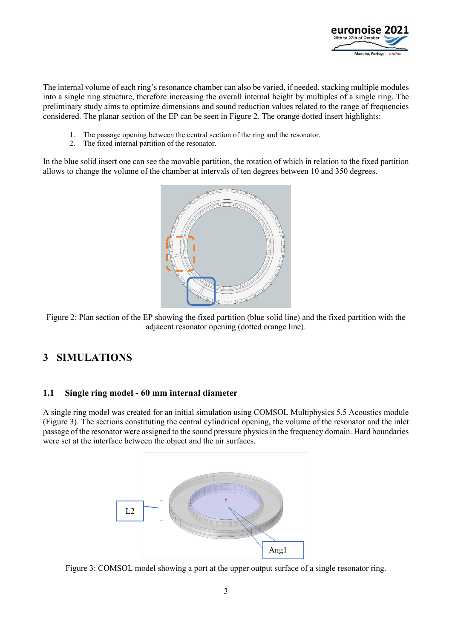

The internal volume of each ring's resonance chamber can also be varied, if needed, stacking multiple modules into a single ring structure, therefore increasing the overall internal height by multiples of a single ring. The preliminary study aims to optimize dimensions and sound reduction values related to the range of frequencies considered. The planar section of the EP can be seen in [Figure 2.](#page-2-0) The orange dotted insert highlights:

- 1. The passage opening between the central section of the ring and the resonator.
- 2. The fixed internal partition of the resonator.

In the blue solid insert one can see the movable partition, the rotation of which in relation to the fixed partition allows to change the volume of the chamber at intervals of ten degrees between 10 and 350 degrees.



<span id="page-2-0"></span>Figure 2: Plan section of the EP showing the fixed partition (blue solid line) and the fixed partition with the adjacent resonator opening (dotted orange line).

# **3 SIMULATIONS**

#### **1.1 Single ring model - 60 mm internal diameter**

A single ring model was created for an initial simulation using COMSOL Multiphysics 5.5 Acoustics module [\(Figure 3\)](#page-2-1). The sections constituting the central cylindrical opening, the volume of the resonator and the inlet passage of the resonator were assigned to the sound pressure physics in the frequency domain. Hard boundaries were set at the interface between the object and the air surfaces.



<span id="page-2-1"></span>Figure 3: COMSOL model showing a port at the upper output surface of a single resonator ring.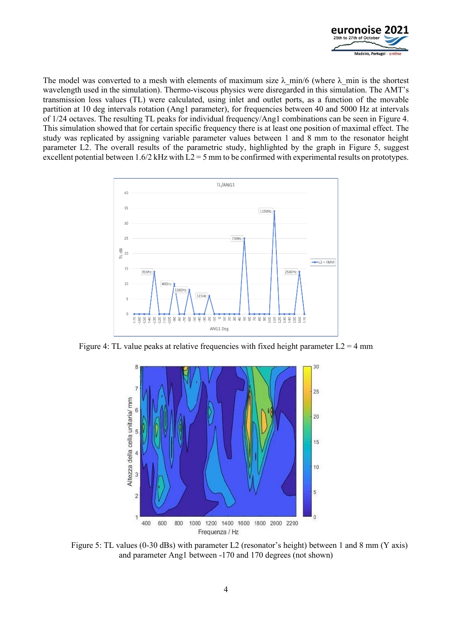

The model was converted to a mesh with elements of maximum size  $\lambda$  min/6 (where  $\lambda$  min is the shortest wavelength used in the simulation). Thermo-viscous physics were disregarded in this simulation. The AMT's transmission loss values (TL) were calculated, using inlet and outlet ports, as a function of the movable partition at 10 deg intervals rotation (Ang1 parameter), for frequencies between 40 and 5000 Hz at intervals of 1/24 octaves. The resulting TL peaks for individual frequency/Ang1 combinations can be seen in [Figure 4.](#page-3-0) This simulation showed that for certain specific frequency there is at least one position of maximal effect. The study was replicated by assigning variable parameter values between 1 and 8 mm to the resonator height parameter L2. The overall results of the parametric study, highlighted by the graph in [Figure 5,](#page-3-1) suggest excellent potential between 1.6/2 kHz with L2 = 5 mm to be confirmed with experimental results on prototypes.



<span id="page-3-0"></span>Figure 4: TL value peaks at relative frequencies with fixed height parameter  $L2 = 4$  mm



<span id="page-3-1"></span>Figure 5: TL values (0-30 dBs) with parameter L2 (resonator's height) between 1 and 8 mm (Y axis) and parameter Ang1 between -170 and 170 degrees (not shown)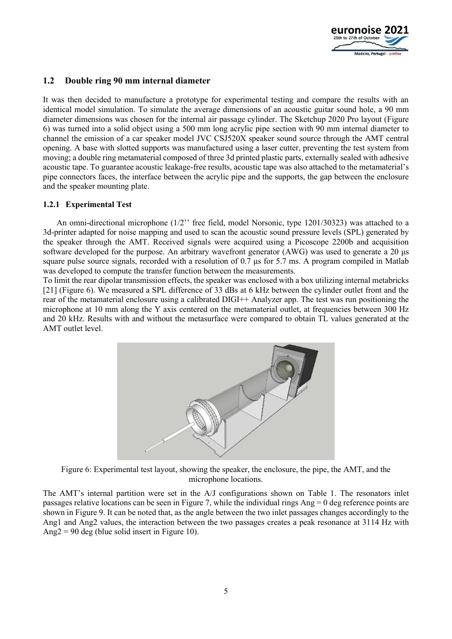

#### **1.2 Double ring 90 mm internal diameter**

It was then decided to manufacture a prototype for experimental testing and compare the results with an identical model simulation. To simulate the average dimensions of an acoustic guitar sound hole, a 90 mm diameter dimensions was chosen for the internal air passage cylinder. The Sketchup 2020 Pro layout [\(Figure](#page-4-0)  [6\)](#page-4-0) was turned into a solid object using a 500 mm long acrylic pipe section with 90 mm internal diameter to channel the emission of a car speaker model JVC CSJ520X speaker sound source through the AMT central opening. A base with slotted supports was manufactured using a laser cutter, preventing the test system from moving; a double ring metamaterial composed of three 3d printed plastic parts, externally sealed with adhesive acoustic tape. To guarantee acoustic leakage-free results, acoustic tape was also attached to the metamaterial's pipe connectors faces, the interface between the acrylic pipe and the supports, the gap between the enclosure and the speaker mounting plate.

#### **1.2.1 Experimental Test**

An omni-directional microphone (1/2'' free field, model Norsonic, type 1201/30323) was attached to a 3d-printer adapted for noise mapping and used to scan the acoustic sound pressure levels (SPL) generated by the speaker through the AMT. Received signals were acquired using a Picoscope 2200b and acquisition software developed for the purpose. An arbitrary wavefront generator (AWG) was used to generate a 20 μs square pulse source signals, recorded with a resolution of 0.7 μs for 5.7 ms. A program compiled in Matlab was developed to compute the transfer function between the measurements.

To limit the rear dipolar transmission effects, the speaker was enclosed with a box utilizing internal metabricks [21] [\(Figure 6\)](#page-4-0). We measured a SPL difference of 33 dBs at 6 kHz between the cylinder outlet front and the rear of the metamaterial enclosure using a calibrated DIGI++ Analyzer app. The test was run positioning the microphone at 10 mm along the Y axis centered on the metamaterial outlet, at frequencies between 300 Hz and 20 kHz. Results with and without the metasurface were compared to obtain TL values generated at the AMT outlet level.



Figure 6: Experimental test layout, showing the speaker, the enclosure, the pipe, the AMT, and the microphone locations.

<span id="page-4-0"></span>The AMT's internal partition were set in the A/J configurations shown on [Table 1.](#page-5-0) The resonators inlet passages relative locations can be seen in [Figure 7,](#page-5-1) while the individual rings Ang = 0 deg reference points are shown in [Figure 9.](#page-5-2) It can be noted that, as the angle between the two inlet passages changes accordingly to the Ang1 and Ang2 values, the interaction between the two passages creates a peak resonance at 3114 Hz with Ang $2 = 90$  deg (blue solid insert in [Figure 10\)](#page-6-0).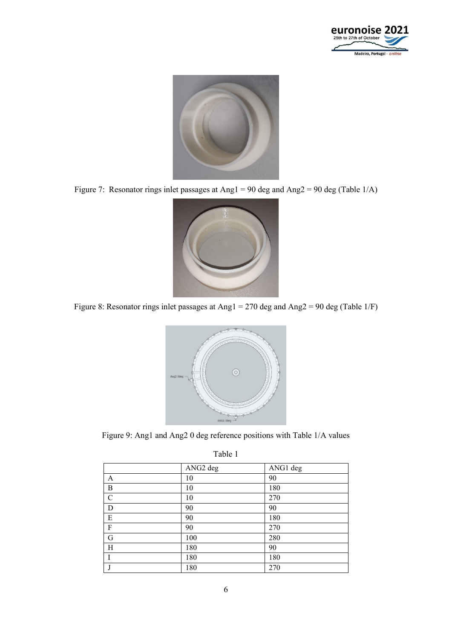



Figure 7: Resonator rings inlet passages at Ang1 = 90 deg and Ang2 = 90 deg (Table 1/A)

<span id="page-5-1"></span>

Figure 8: Resonator rings inlet passages at Ang1 = 270 deg and Ang2 = 90 deg (Table 1/F)



<span id="page-5-2"></span><span id="page-5-0"></span>Figure 9: Ang1 and Ang2 0 deg reference positions with Table 1/A values

| 1 WO 1 9 1       |                      |          |
|------------------|----------------------|----------|
|                  | ANG <sub>2</sub> deg | ANG1 deg |
| A                | 10                   | 90       |
| $\boldsymbol{B}$ | 10                   | 180      |
| $\mathcal{C}$    | 10                   | 270      |
| D                | 90                   | 90       |
| E                | 90                   | 180      |
| $\boldsymbol{F}$ | 90                   | 270      |
| G                | 100                  | 280      |
| H                | 180                  | 90       |
|                  | 180                  | 180      |
|                  | 180                  | 270      |

Table 1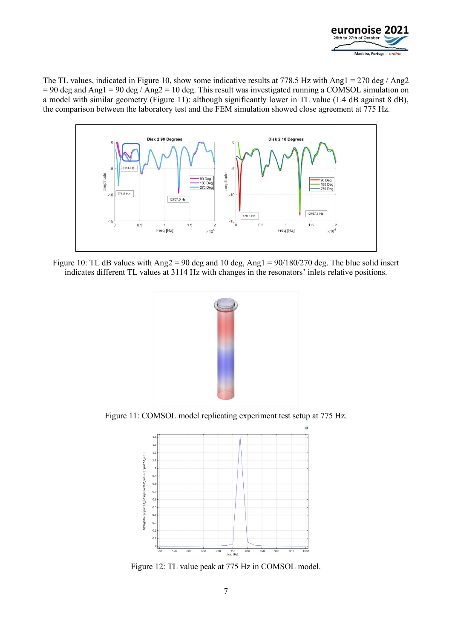

The TL values, indicated i[n Figure 10,](#page-6-0) show some indicative results at 778.5 Hz with Ang1 = 270 deg / Ang2  $= 90$  deg and Ang1 = 90 deg / Ang2 = 10 deg. This result was investigated running a COMSOL simulation on a model with similar geometry [\(Figure 11\)](#page-6-1): although significantly lower in TL value (1.4 dB against 8 dB), the comparison between the laboratory test and the FEM simulation showed close agreement at 775 Hz.



<span id="page-6-0"></span>Figure 10: TL dB values with Ang2 = 90 deg and 10 deg, Ang1 = 90/180/270 deg. The blue solid insert indicates different TL values at 3114 Hz with changes in the resonators' inlets relative positions.



Figure 11: COMSOL model replicating experiment test setup at 775 Hz.

<span id="page-6-1"></span>

Figure 12: TL value peak at 775 Hz in COMSOL model.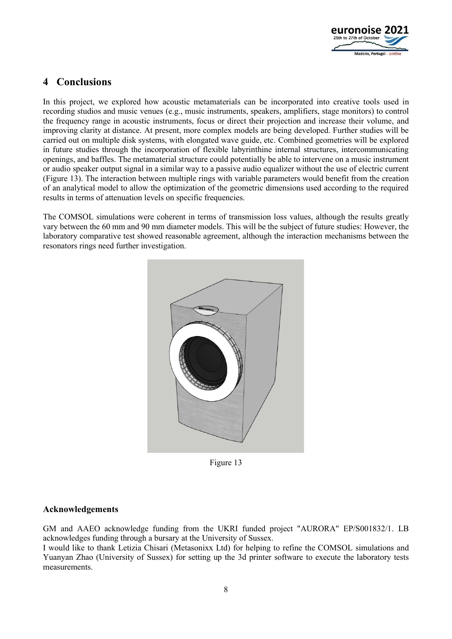

## **4 Conclusions**

In this project, we explored how acoustic metamaterials can be incorporated into creative tools used in recording studios and music venues (e.g., music instruments, speakers, amplifiers, stage monitors) to control the frequency range in acoustic instruments, focus or direct their projection and increase their volume, and improving clarity at distance. At present, more complex models are being developed. Further studies will be carried out on multiple disk systems, with elongated wave guide, etc. Combined geometries will be explored in future studies through the incorporation of flexible labyrinthine internal structures, intercommunicating openings, and baffles. The metamaterial structure could potentially be able to intervene on a music instrument or audio speaker output signal in a similar way to a passive audio equalizer without the use of electric current [\(Figure 13\)](#page-7-0). The interaction between multiple rings with variable parameters would benefit from the creation of an analytical model to allow the optimization of the geometric dimensions used according to the required results in terms of attenuation levels on specific frequencies.

The COMSOL simulations were coherent in terms of transmission loss values, although the results greatly vary between the 60 mm and 90 mm diameter models. This will be the subject of future studies: However, the laboratory comparative test showed reasonable agreement, although the interaction mechanisms between the resonators rings need further investigation.



Figure 13

#### <span id="page-7-0"></span>**Acknowledgements**

GM and AAEO acknowledge funding from the UKRI funded project "AURORA" EP/S001832/1. LB acknowledges funding through a bursary at the University of Sussex.

I would like to thank Letizia Chisari (Metasonixx Ltd) for helping to refine the COMSOL simulations and Yuanyan Zhao (University of Sussex) for setting up the 3d printer software to execute the laboratory tests measurements.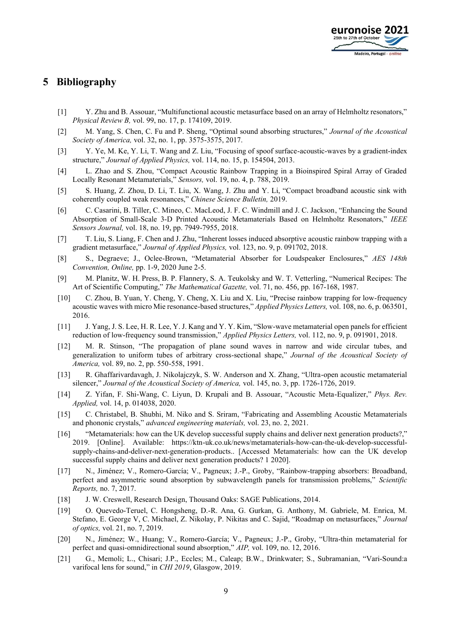

### **5 Bibliography**

- [1] Y. Zhu and B. Assouar, "Multifunctional acoustic metasurface based on an array of Helmholtz resonators," *Physical Review B,* vol. 99, no. 17, p. 174109, 2019.
- [2] M. Yang, S. Chen, C. Fu and P. Sheng, "Optimal sound absorbing structures," *Journal of the Acoustical Society of America,* vol. 32, no. 1, pp. 3575-3575, 2017.
- [3] Y. Ye, M. Ke, Y. Li, T. Wang and Z. Liu, "Focusing of spoof surface-acoustic-waves by a gradient-index structure," *Journal of Applied Physics,* vol. 114, no. 15, p. 154504, 2013.
- [4] L. Zhao and S. Zhou, "Compact Acoustic Rainbow Trapping in a Bioinspired Spiral Array of Graded Locally Resonant Metamaterials," *Sensors,* vol. 19, no. 4, p. 788, 2019.
- [5] S. Huang, Z. Zhou, D. Li, T. Liu, X. Wang, J. Zhu and Y. Li, "Compact broadband acoustic sink with coherently coupled weak resonances," *Chinese Science Bulletin,* 2019.
- [6] C. Casarini, B. Tiller, C. Mineo, C. MacLeod, J. F. C. Windmill and J. C. Jackson, "Enhancing the Sound Absorption of Small-Scale 3-D Printed Acoustic Metamaterials Based on Helmholtz Resonators," *IEEE Sensors Journal,* vol. 18, no. 19, pp. 7949-7955, 2018.
- [7] T. Liu, S. Liang, F. Chen and J. Zhu, "Inherent losses induced absorptive acoustic rainbow trapping with a gradient metasurface," *Journal of Applied Physics,* vol. 123, no. 9, p. 091702, 2018.
- [8] S., Degraeve; J., Oclee-Brown, "Metamaterial Absorber for Loudspeaker Enclosures," *AES 148th Convention, Online,* pp. 1-9, 2020 June 2-5.
- [9] M. Planitz, W. H. Press, B. P. Flannery, S. A. Teukolsky and W. T. Vetterling, "Numerical Recipes: The Art of Scientific Computing," *The Mathematical Gazette,* vol. 71, no. 456, pp. 167-168, 1987.
- [10] C. Zhou, B. Yuan, Y. Cheng, Y. Cheng, X. Liu and X. Liu, "Precise rainbow trapping for low-frequency acoustic waves with micro Mie resonance-based structures," *Applied Physics Letters,* vol. 108, no. 6, p. 063501, 2016.
- [11] J. Yang, J. S. Lee, H. R. Lee, Y. J. Kang and Y. Y. Kim, "Slow-wave metamaterial open panels for efficient reduction of low-frequency sound transmission," *Applied Physics Letters,* vol. 112, no. 9, p. 091901, 2018.
- [12] M. R. Stinson, "The propagation of plane sound waves in narrow and wide circular tubes, and generalization to uniform tubes of arbitrary cross-sectional shape," *Journal of the Acoustical Society of America,* vol. 89, no. 2, pp. 550-558, 1991.
- [13] R. Ghaffarivardavagh, J. Nikolajczyk, S. W. Anderson and X. Zhang, "Ultra-open acoustic metamaterial silencer," *Journal of the Acoustical Society of America,* vol. 145, no. 3, pp. 1726-1726, 2019.
- [14] Z. Yifan, F. Shi-Wang, C. Liyun, D. Krupali and B. Assouar, "Acoustic Meta-Equalizer," *Phys. Rev. Applied,* vol. 14, p. 014038, 2020.
- [15] C. Christabel, B. Shubhi, M. Niko and S. Sriram, "Fabricating and Assembling Acoustic Metamaterials and phononic crystals," *advanced engineering materials,* vol. 23, no. 2, 2021.
- [16] "Metamaterials: how can the UK develop successful supply chains and deliver next generation products?," 2019. [Online]. Available: https://ktn-uk.co.uk/news/metamaterials-how-can-the-uk-develop-successfulsupply-chains-and-deliver-next-generation-products.. [Accessed Metamaterials: how can the UK develop successful supply chains and deliver next generation products? 1 2020].
- [17] N., Jiménez; V., Romero-García; V., Pagneux; J.-P., Groby, "Rainbow-trapping absorbers: Broadband, perfect and asymmetric sound absorption by subwavelength panels for transmission problems," *Scientific Reports,* no. 7, 2017.
- [18] J. W. Creswell, Research Design, Thousand Oaks: SAGE Publications, 2014.
- [19] O. Quevedo-Teruel, C. Hongsheng, D.-R. Ana, G. Gurkan, G. Anthony, M. Gabriele, M. Enrica, M. Stefano, E. George V, C. Michael, Z. Nikolay, P. Nikitas and C. Sajid, "Roadmap on metasurfaces," *Journal of optics,* vol. 21, no. 7, 2019.
- [20] N., Jiménez; W., Huang; V., Romero-García; V., Pagneux; J.-P., Groby, "Ultra-thin metamaterial for perfect and quasi-omnidirectional sound absorption," *AIP,* vol. 109, no. 12, 2016.
- [21] G., Memoli; L., Chisari; J.P., Eccles; M., Caleap; B.W., Drinkwater; S., Subramanian, "Vari-Sound:a varifocal lens for sound," in *CHI 2019*, Glasgow, 2019.